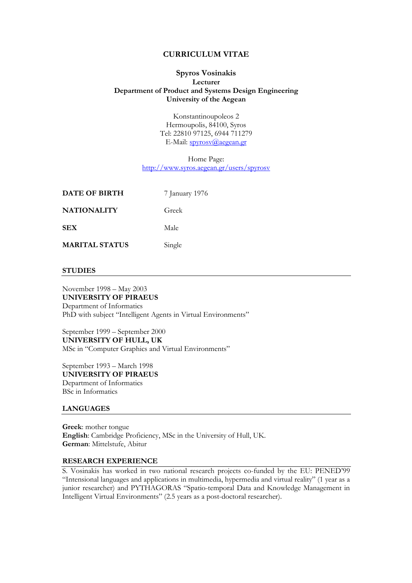### CURRICULUM VITAE

### Spyros Vosinakis Lecturer Department of Product and Systems Design Engineering University of the Aegean

Konstantinoupoleos 2 Hermoupolis, 84100, Syros Tel: 22810 97125, 6944 711279 E-Mail: spyrosv@aegean.gr

Home Page: http://www.syros.aegean.gr/users/spyrosv

| DATE OF BIRTH         | 7 January 1976 |
|-----------------------|----------------|
| <b>NATIONALITY</b>    | Greek          |
| <b>SEX</b>            | Male           |
| <b>MARITAL STATUS</b> | Single         |

#### **STUDIES**

November 1998 – May 2003 UNIVERSITY OF PIRAEUS Department of Informatics PhD with subject "Intelligent Agents in Virtual Environments"

September 1999 – September 2000 UNIVERSITY OF HULL, UK MSc in "Computer Graphics and Virtual Environments"

September 1993 – March 1998 UNIVERSITY OF PIRAEUS Department of Informatics BSc in Informatics

#### LANGUAGES

Greek: mother tongue English: Cambridge Proficiency, MSc in the University of Hull, UK. German: Mittelstufe, Abitur

### RESEARCH EXPERIENCE

S. Vosinakis has worked in two national research projects co-funded by the EU: PENED'99 "Intensional languages and applications in multimedia, hypermedia and virtual reality" (1 year as a junior researcher) and PYTHAGORAS "Spatio-temporal Data and Knowledge Management in Intelligent Virtual Environments" (2.5 years as a post-doctoral researcher).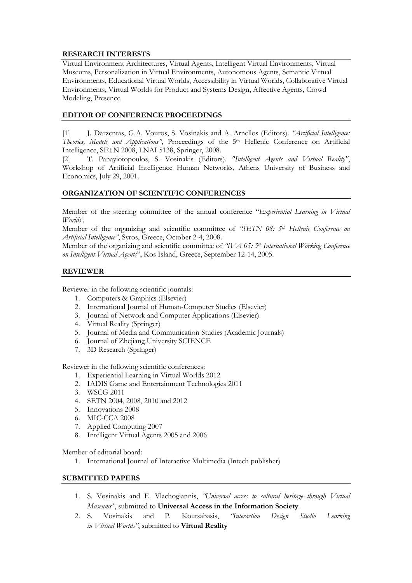# RESEARCH INTERESTS

Virtual Environment Architectures, Virtual Agents, Intelligent Virtual Environments, Virtual Museums, Personalization in Virtual Environments, Autonomous Agents, Semantic Virtual Environments, Educational Virtual Worlds, Accessibility in Virtual Worlds, Collaborative Virtual Environments, Virtual Worlds for Product and Systems Design, Affective Agents, Crowd Modeling, Presence.

# EDITOR OF CONFERENCE PROCEEDINGS

[1] J. Darzentas, G.A. Vouros, S. Vosinakis and A. Arnellos (Editors). "Artificial Intelligence: Theories, Models and Applications", Proceedings of the 5th Hellenic Conference on Artificial Intelligence, SETN 2008, LNAI 5138, Springer, 2008.

[2] T. Panayiotopoulos, S. Vosinakis (Editors). "Intelligent Agents and Virtual Reality", Workshop of Artificial Intelligence Human Networks, Athens University of Business and Economics, July 29, 2001.

# ORGANIZATION OF SCIENTIFIC CONFERENCES

Member of the steering committee of the annual conference "Experiential Learning in Virtual Worlds'.

Member of the organizing and scientific committee of "SETN 08:  $5<sup>th</sup>$  Hellenic Conference on Artificial Intelligence", Syros, Greece, October 2-4, 2008.

Member of the organizing and scientific committee of "IVA 05: 5<sup>th</sup> International Working Conference on Intelligent Virtual Agents", Kos Island, Greece, September 12-14, 2005.

### REVIEWER

Reviewer in the following scientific journals:

- 1. Computers & Graphics (Elsevier)
- 2. International Journal of Human-Computer Studies (Elsevier)
- 3. Journal of Network and Computer Applications (Elsevier)
- 4. Virtual Reality (Springer)
- 5. Journal of Media and Communication Studies (Academic Journals)
- 6. Journal of Zhejiang University SCIENCE
- 7. 3D Research (Springer)

Reviewer in the following scientific conferences:

- 1. Experiential Learning in Virtual Worlds 2012
- 2. IADIS Game and Entertainment Technologies 2011
- 3. WSCG 2011
- 4. SETN 2004, 2008, 2010 and 2012
- 5. Innovations 2008
- 6. MIC-CCA 2008
- 7. Applied Computing 2007
- 8. Intelligent Virtual Agents 2005 and 2006

Member of editorial board:

1. International Journal of Interactive Multimedia (Intech publisher)

### SUBMITTED PAPERS

- 1. S. Vosinakis and E. Vlachogiannis, "Universal access to cultural heritage through Virtual Museums", submitted to Universal Access in the Information Society.
- 2. S. Vosinakis and P. Koutsabasis, "Interaction Design Studio Learning in Virtual Worlds", submitted to Virtual Reality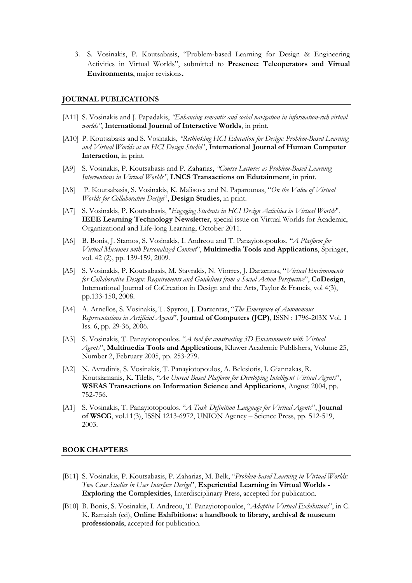3. S. Vosinakis, P. Koutsabasis, "Problem-based Learning for Design & Engineering Activities in Virtual Worlds", submitted to Presence: Teleoperators and Virtual Environments, major revisions.

#### JOURNAL PUBLICATIONS

- [A11] S. Vosinakis and J. Papadakis, "Enhancing semantic and social navigation in information-rich virtual worlds", International Journal of Interactive Worlds, in print.
- [A10] P. Koutsabasis and S. Vosinakis, "Rethinking HCI Education for Design: Problem-Based Learning and Virtual Worlds at an HCI Design Studio", International Journal of Human Computer Interaction, in print.
- [A9] S. Vosinakis, P. Koutsabasis and P. Zaharias, "Course Lectures as Problem-Based Learning Interventions in Virtual Worlds", LNCS Transactions on Edutainment, in print.
- [A8] P. Koutsabasis, S. Vosinakis, K. Malisova and N. Paparounas, "On the Value of Virtual Worlds for Collaborative Design", Design Studies, in print.
- [A7] S. Vosinakis, P. Koutsabasis, "Engaging Students in HCI Design Activities in Virtual Worlds", IEEE Learning Technology Newsletter, special issue on Virtual Worlds for Academic, Organizational and Life-long Learning, October 2011.
- [A6] B. Bonis, J. Stamos, S. Vosinakis, I. Andreou and T. Panaviotopoulos, "A Platform for Virtual Museums with Personalized Content", Multimedia Tools and Applications, Springer, vol. 42 (2), pp. 139-159, 2009.
- [A5] S. Vosinakis, P. Koutsabasis, M. Stavrakis, N. Viorres, J. Darzentas, "Virtual Environments for Collaborative Design: Requirements and Guidelines from a Social Action Perspective", CoDesign, International Journal of CoCreation in Design and the Arts, Taylor & Francis, vol 4(3), pp.133-150, 2008.
- [A4] A. Arnellos, S. Vosinakis, T. Spyrou, J. Darzentas, "The Emergence of Autonomous Representations in Artificial Agents", Journal of Computers (JCP), ISSN : 1796-203X Vol. 1 Iss. 6, pp. 29-36, 2006.
- [A3] S. Vosinakis, T. Panayiotopoulos. "A tool for constructing 3D Environments with Virtual Agents", Multimedia Tools and Applications, Kluwer Academic Publishers, Volume 25, Number 2, February 2005, pp. 253-279.
- [A2] N. Avradinis, S. Vosinakis, T. Panayiotopoulos, A. Belesiotis, I. Giannakas, R. Koutsiamanis, K. Tilelis, "An Unreal Based Platform for Developing Intelligent Virtual Agents", WSEAS Transactions on Information Science and Applications, August 2004, pp. 752-756.
- [A1] S. Vosinakis, T. Panayiotopoulos. "A Task Definition Language for Virtual Agents", Journal of WSCG, vol.11(3), ISSN 1213-6972, UNION Agency – Science Press, pp. 512-519, 2003.

#### BOOK CHAPTERS

- [B11] S. Vosinakis, P. Koutsabasis, P. Zaharias, M. Belk, "Problem-based Learning in Virtual Worlds: Two Case Studies in User Interface Design", Experiential Learning in Virtual Worlds -Exploring the Complexities, Interdisciplinary Press, accepted for publication.
- [B10] B. Bonis, S. Vosinakis, I. Andreou, T. Panayiotopoulos, "Adaptive Virtual Exhibitions", in C. K. Ramaiah (ed), Online Exhibitions: a handbook to library, archival & museum professionals, accepted for publication.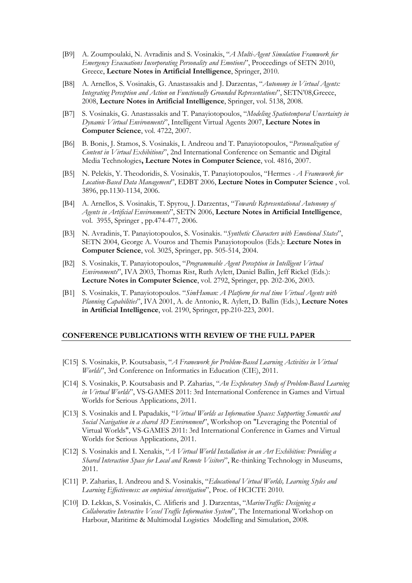- [B9] A. Zoumpoulaki, N. Avradinis and S. Vosinakis, "A Multi-Agent Simulation Framwork for Emergency Evacuations Incorporating Personality and Emotions", Proceedings of SETN 2010, Greece, Lecture Notes in Artificial Intelligence, Springer, 2010.
- [B8] A. Arnellos, S. Vosinakis, G. Anastassakis and J. Darzentas, "Autonomy in Virtual Agents: Integrating Perception and Action on Functionally Grounded Representations", SETN'08,Greece, 2008, Lecture Notes in Artificial Intelligence, Springer, vol. 5138, 2008.
- [B7] S. Vosinakis, G. Anastassakis and T. Panayiotopoulos, "Modeling Spatiotemporal Uncertainty in Dynamic Virtual Environments", Intelligent Virtual Agents 2007, Lecture Notes in Computer Science, vol. 4722, 2007.
- [B6] B. Bonis, J. Stamos, S. Vosinakis, I. Andreou and T. Panayiotopoulos, "Personalization of Content in Virtual Exhibitions", 2nd International Conference on Semantic and Digital Media Technologies, Lecture Notes in Computer Science, vol. 4816, 2007.
- [B5] N. Pelekis, Y. Theodoridis, S. Vosinakis, T. Panayiotopoulos, "Hermes A Framework for Location-Based Data Management", EDBT 2006, Lecture Notes in Computer Science, vol. 3896, pp.1130-1134, 2006.
- [B4] A. Arnellos, S. Vosinakis, T. Spyrou, J. Darzentas, "Towards Representational Autonomy of Agents in Artificial Environments", SETN 2006, Lecture Notes in Artificial Intelligence, vol. 3955, Springer , pp.474-477, 2006.
- [B3] N. Avradinis, T. Panayiotopoulos, S. Vosinakis. "Synthetic Characters with Emotional States", SETN 2004, George A. Vouros and Themis Panayiotopoulos (Eds.): Lecture Notes in Computer Science, vol. 3025, Springer, pp. 505-514, 2004.
- [B2] S. Vosinakis, T. Panayiotopoulos, "Programmable Agent Perception in Intelligent Virtual Environments", IVA 2003, Thomas Rist, Ruth Aylett, Daniel Ballin, Jeff Rickel (Eds.): Lecture Notes in Computer Science, vol. 2792, Springer, pp. 202-206, 2003.
- [B1] S. Vosinakis, T. Panayiotopoulos. "SimHuman: A Platform for real time Virtual Agents with Planning Capabilities", IVA 2001, A. de Antonio, R. Aylett, D. Ballin (Eds.), Lecture Notes in Artificial Intelligence, vol. 2190, Springer, pp.210-223, 2001.

#### CONFERENCE PUBLICATIONS WITH REVIEW OF THE FULL PAPER

- [C15] S. Vosinakis, P. Koutsabasis, "A Framework for Problem-Based Learning Activities in Virtual Worlds", 3rd Conference on Informatics in Education (CIE), 2011.
- [C14] S. Vosinakis, P. Koutsabasis and P. Zaharias, "An Exploratory Study of Problem-Based Learning in Virtual Worlds", VS-GAMES 2011: 3rd International Conference in Games and Virtual Worlds for Serious Applications, 2011.
- [C13] S. Vosinakis and I. Papadakis, "Virtual Worlds as Information Spaces: Supporting Semantic and Social Navigation in a shared 3D Environment", Workshop on "Leveraging the Potential of Virtual Worlds", VS-GAMES 2011: 3rd International Conference in Games and Virtual Worlds for Serious Applications, 2011.
- [C12] S. Vosinakis and I. Xenakis, "A Virtual World Installation in an Art Exhibition: Providing a Shared Interaction Space for Local and Remote Visitors", Re-thinking Technology in Museums, 2011.
- [C11] P. Zaharias, I. Andreou and S. Vosinakis, "Educational Virtual Worlds, Learning Styles and Learning Effectiveness: an empirical investigation", Proc. of HCICTE 2010.
- [C10] D. Lekkas, S. Vosinakis, C. Alifieris and J. Darzentas, "MarineTraffic: Designing a Collaborative Interactive Vessel Traffic Information System", The International Workshop on Harbour, Maritime & Multimodal Logistics Modelling and Simulation, 2008.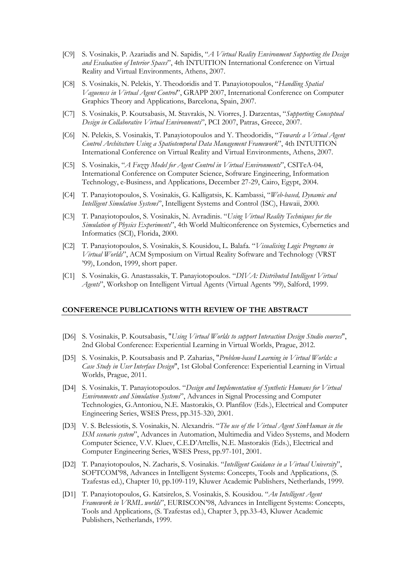- [C9] S. Vosinakis, P. Azariadis and N. Sapidis, "A Virtual Reality Environment Supporting the Design and Evaluation of Interior Spaces", 4th INTUITION International Conference on Virtual Reality and Virtual Environments, Athens, 2007.
- [C8] S. Vosinakis, N. Pelekis, Y. Theodoridis and T. Panayiotopoulos, "Handling Spatial Vagueness in Virtual Agent Control", GRAPP 2007, International Conference on Computer Graphics Theory and Applications, Barcelona, Spain, 2007.
- [C7] S. Vosinakis, P. Koutsabasis, M. Stavrakis, N. Viorres, J. Darzentas, "Supporting Conceptual Design in Collaborative Virtual Environments", PCI 2007, Patras, Greece, 2007.
- [C6] N. Pelekis, S. Vosinakis, T. Panayiotopoulos and Y. Theodoridis, "Towards a Virtual Agent Control Architecture Using a Spatiotemporal Data Management Framework", 4th INTUITION International Conference on Virtual Reality and Virtual Environments, Athens, 2007.
- [C5] S. Vosinakis, "A Fuzzy Model for Agent Control in Virtual Environments", CSITeA-04, International Conference on Computer Science, Software Engineering, Information Technology, e-Business, and Applications, December 27-29, Cairo, Egypt, 2004.
- [C4] T. Panayiotopoulos, S. Vosinakis, G. Kalligatsis, K. Kambassi, "Web-based, Dynamic and Intelligent Simulation Systems", Intelligent Systems and Control (ISC), Hawaii, 2000.
- [C3] T. Panayiotopoulos, S. Vosinakis, N. Avradinis. "Using Virtual Reality Techniques for the Simulation of Physics Experiments", 4th World Multiconference on Systemics, Cybernetics and Informatics (SCI), Florida, 2000.
- [C2] T. Panayiotopoulos, S. Vosinakis, S. Kousidou, L. Balafa. "Visualising Logic Programs in Virtual Worlds", ACM Symposium on Virtual Reality Software and Technology (VRST '99), London, 1999, short paper.
- [C1] S. Vosinakis, G. Anastassakis, T. Panayiotopoulos. "DIVA: Distributed Intelligent Virtual Agents", Workshop on Intelligent Virtual Agents (Virtual Agents '99), Salford, 1999.

#### CONFERENCE PUBLICATIONS WITH REVIEW OF THE ABSTRACT

- [D6] S. Vosinakis, P. Koutsabasis, "Using Virtual Worlds to support Interaction Design Studio courses", 2nd Global Conference: Experiential Learning in Virtual Worlds, Prague, 2012.
- [D5] S. Vosinakis, P. Koutsabasis and P. Zaharias, "Problem-based Learning in Virtual Worlds: a Case Study in User Interface Design", 1st Global Conference: Experiential Learning in Virtual Worlds, Prague, 2011.
- [D4] S. Vosinakis, T. Panayiotopoulos. "Design and Implementation of Synthetic Humans for Virtual Environments and Simulation Systems", Advances in Signal Processing and Computer Technologies, G.Antoniou, N.E. Mastorakis, O. Planfilov (Eds.), Electrical and Computer Engineering Series, WSES Press, pp.315-320, 2001.
- [D3] V. S. Belessiotis, S. Vosinakis, N. Alexandris. "The use of the Virtual Agent SimHuman in the ISM scenario system", Advances in Automation, Multimedia and Video Systems, and Modern Computer Science, V.V. Kluev, C.E.D'Attellis, N.E. Mastorakis (Eds.), Electrical and Computer Engineering Series, WSES Press, pp.97-101, 2001.
- [D2] T. Panayiotopoulos, N. Zacharis, S. Vosinakis. "Intelligent Guidance in a Virtual University", SOFTCOM'98, Advances in Intelligent Systems: Concepts, Tools and Applications, (S. Tzafestas ed.), Chapter 10, pp.109-119, Kluwer Academic Publishers, Netherlands, 1999.
- [D1] T. Panayiotopoulos, G. Katsirelos, S. Vosinakis, S. Kousidou. "An Intelligent Agent Framework in VRML worlds", EURISCON'98, Advances in Intelligent Systems: Concepts, Tools and Applications, (S. Tzafestas ed.), Chapter 3, pp.33-43, Kluwer Academic Publishers, Netherlands, 1999.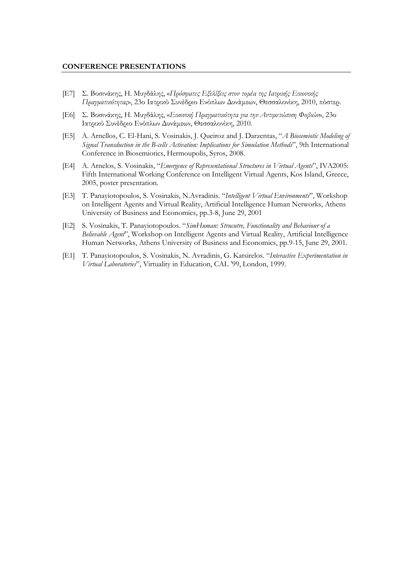#### CONFERENCE PRESENTATIONS

- [E7] Σ. Βοσινάκης, Η. Μυγδάλης, «Πρόσφατες Εξελίξεις στον τοµέα της Ιατρικής Εικονικής Πραγµατικότητας», 23ο Ιατρικό Συνέδριο Ενόπλων ∆υνάµεων, Θεσσαλονίκη, 2010, πόστερ.
- [E6] Σ. Βοσινάκης, Η. Μυγδάλης, «Εικονική Πραγματικότητα για την Αντιμετώπιση Φοβιών», 23ο Ιατρικό Συνέδριο Ενόπλων ∆υνάµεων, Θεσσαλονίκη, 2010.
- [E5] A. Arnellos, C. El-Hani, S. Vosinakis, J. Queiroz and J. Darzentas, "A Biosemiotic Modeling of Signal Transduction in the B-cells Activation: Implications for Simulation Methods", 9th International Conference in Biosemiotics, Hermoupolis, Syros, 2008.
- [E4] A. Arnelos, S. Vosinakis, "Emergence of Representational Structures in Virtual Agents", IVA2005: Fifth International Working Conference on Intelligent Virtual Agents, Kos Island, Greece, 2005, poster presentation.
- [E3] T. Panayiotopoulos, S. Vosinakis, N.Avradinis. "Intelligent Virtual Environments", Workshop on Intelligent Agents and Virtual Reality, Artificial Intelligence Human Networks, Athens University of Business and Economics, pp.3-8, June 29, 2001
- [E2] S. Vosinakis, T. Panayiotopoulos. "SimHuman: Strucutre, Functionality and Behaviour of a Believable Agent", Workshop on Intelligent Agents and Virtual Reality, Artificial Intelligence Human Networks, Athens University of Business and Economics, pp.9-15, June 29, 2001.
- [E1] T. Panayiotopoulos, S. Vosinakis, N. Avradinis, G. Katsirelos. "Interactive Experimentation in Virtual Laboratories", Virtuality in Education, CAL '99, London, 1999.